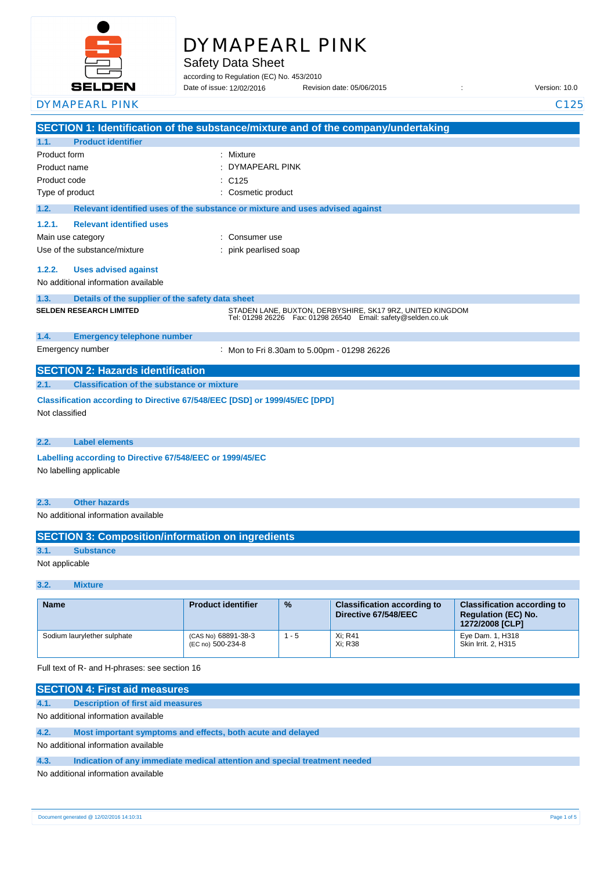

# DYMAPEARL PINK

Safety Data Sheet

according to Regulation (EC) No. 453/2010

Date of issue: Revision date: 05/06/2015 : Version: 10.0 DYMAPEARL PINK C125 Date of issue: 12/02/2016

|                                                                                              |                                                           | SECTION 1: Identification of the substance/mixture and of the company/undertaking                                               |  |  |
|----------------------------------------------------------------------------------------------|-----------------------------------------------------------|---------------------------------------------------------------------------------------------------------------------------------|--|--|
| 1.1.                                                                                         | <b>Product identifier</b>                                 |                                                                                                                                 |  |  |
| Product form                                                                                 |                                                           | Mixture                                                                                                                         |  |  |
| Product name                                                                                 |                                                           | <b>DYMAPEARL PINK</b>                                                                                                           |  |  |
| Product code                                                                                 |                                                           | C <sub>125</sub>                                                                                                                |  |  |
| Type of product                                                                              |                                                           | Cosmetic product                                                                                                                |  |  |
| 1.2.                                                                                         |                                                           | Relevant identified uses of the substance or mixture and uses advised against                                                   |  |  |
| 1.2.1.                                                                                       | <b>Relevant identified uses</b>                           |                                                                                                                                 |  |  |
|                                                                                              | Main use category                                         | Consumer use                                                                                                                    |  |  |
|                                                                                              | Use of the substance/mixture                              | pink pearlised soap                                                                                                             |  |  |
| 1.2.2.                                                                                       | <b>Uses advised against</b>                               |                                                                                                                                 |  |  |
|                                                                                              | No additional information available                       |                                                                                                                                 |  |  |
| 1.3.                                                                                         | Details of the supplier of the safety data sheet          |                                                                                                                                 |  |  |
|                                                                                              | <b>SELDEN RESEARCH LIMITED</b>                            | STADEN LANE, BUXTON, DERBYSHIRE, SK17 9RZ, UNITED KINGDOM<br>Tel: 01298 26226    Fax: 01298 26540    Email: safety@selden.co.uk |  |  |
| 1.4.                                                                                         | <b>Emergency telephone number</b>                         |                                                                                                                                 |  |  |
|                                                                                              | Emergency number                                          | : Mon to Fri 8.30am to 5.00pm - 01298 26226                                                                                     |  |  |
|                                                                                              | <b>SECTION 2: Hazards identification</b>                  |                                                                                                                                 |  |  |
| 2.1.                                                                                         | <b>Classification of the substance or mixture</b>         |                                                                                                                                 |  |  |
| Classification according to Directive 67/548/EEC [DSD] or 1999/45/EC [DPD]<br>Not classified |                                                           |                                                                                                                                 |  |  |
| 2.2.                                                                                         | <b>Label elements</b>                                     |                                                                                                                                 |  |  |
|                                                                                              | Labelling according to Directive 67/548/EEC or 1999/45/EC |                                                                                                                                 |  |  |
|                                                                                              | No labelling applicable                                   |                                                                                                                                 |  |  |
| 2.3.                                                                                         | <b>Other hazards</b>                                      |                                                                                                                                 |  |  |
|                                                                                              | No additional information available                       |                                                                                                                                 |  |  |
|                                                                                              | <b>SECTION 3: Composition/information on ingredients</b>  |                                                                                                                                 |  |  |
| 3.1.                                                                                         | <b>Substance</b>                                          |                                                                                                                                 |  |  |
|                                                                                              | Not applicable                                            |                                                                                                                                 |  |  |

#### **3.2. Mixture**

| <b>Name</b>                 | <b>Product identifier</b>                | $\frac{9}{6}$ | <b>Classification according to</b><br>Directive 67/548/EEC | <b>Classification according to</b><br><b>Requlation (EC) No.</b><br>1272/2008 [CLP] |
|-----------------------------|------------------------------------------|---------------|------------------------------------------------------------|-------------------------------------------------------------------------------------|
| Sodium laurylether sulphate | (CAS No) 68891-38-3<br>(EC no) 500-234-8 | - 5           | Xi; R41<br>Xi: R38                                         | Eye Dam. 1, H318<br>Skin Irrit. 2, H315                                             |

#### Full text of R- and H-phrases: see section 16

| <b>SECTION 4: First aid measures</b> |                                                                            |  |  |
|--------------------------------------|----------------------------------------------------------------------------|--|--|
| 4.1.                                 | Description of first aid measures                                          |  |  |
| No additional information available  |                                                                            |  |  |
| 4.2.                                 | Most important symptoms and effects, both acute and delayed                |  |  |
| No additional information available  |                                                                            |  |  |
| 4.3.                                 | Indication of any immediate medical attention and special treatment needed |  |  |
|                                      | No additional information available                                        |  |  |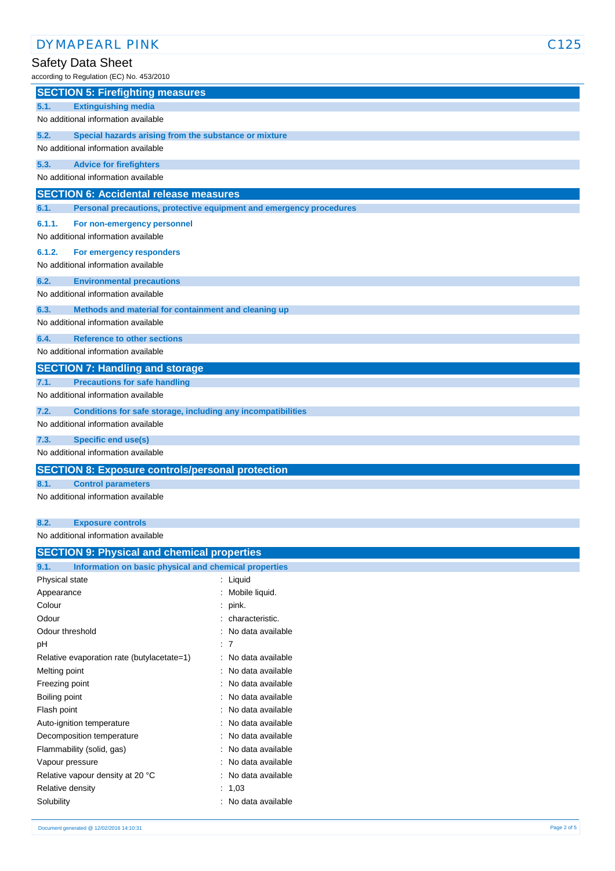## Safety Data Sheet

| according to Regulation (EC) No. 453/2010                                               |  |  |
|-----------------------------------------------------------------------------------------|--|--|
| <b>SECTION 5: Firefighting measures</b>                                                 |  |  |
| <b>Extinguishing media</b><br>5.1.                                                      |  |  |
| No additional information available                                                     |  |  |
| 5.2.<br>Special hazards arising from the substance or mixture                           |  |  |
| No additional information available                                                     |  |  |
| 5.3.<br><b>Advice for firefighters</b>                                                  |  |  |
| No additional information available                                                     |  |  |
| <b>SECTION 6: Accidental release measures</b>                                           |  |  |
| 6.1.<br>Personal precautions, protective equipment and emergency procedures             |  |  |
| 6.1.1.<br>For non-emergency personnel                                                   |  |  |
| No additional information available                                                     |  |  |
| 6.1.2.<br>For emergency responders                                                      |  |  |
| No additional information available                                                     |  |  |
| 6.2.<br><b>Environmental precautions</b>                                                |  |  |
| No additional information available                                                     |  |  |
| 6.3.<br>Methods and material for containment and cleaning up                            |  |  |
| No additional information available                                                     |  |  |
| <b>Reference to other sections</b><br>6.4.                                              |  |  |
| No additional information available                                                     |  |  |
| <b>SECTION 7: Handling and storage</b>                                                  |  |  |
| <b>Precautions for safe handling</b><br>7.1.                                            |  |  |
| No additional information available                                                     |  |  |
| 7.2.<br>Conditions for safe storage, including any incompatibilities                    |  |  |
| No additional information available                                                     |  |  |
| 7.3.<br><b>Specific end use(s)</b>                                                      |  |  |
| No additional information available                                                     |  |  |
| <b>SECTION 8: Exposure controls/personal protection</b>                                 |  |  |
| <b>Control parameters</b><br>8.1.                                                       |  |  |
| No additional information available                                                     |  |  |
|                                                                                         |  |  |
| 8.2.<br><b>Exposure controls</b>                                                        |  |  |
| No additional information available<br>$A = 1$<br><b>The Contract Contract Contract</b> |  |  |

| <b>SECTION 9: Physical and chemical properties</b>    |  |  |  |
|-------------------------------------------------------|--|--|--|
| Information on basic physical and chemical properties |  |  |  |
| : Liquid                                              |  |  |  |
| Mobile liquid.                                        |  |  |  |
| $:$ pink.                                             |  |  |  |
| characteristic.                                       |  |  |  |
| : No data available                                   |  |  |  |
| : 7                                                   |  |  |  |
| : No data available                                   |  |  |  |
| : No data available                                   |  |  |  |
| : No data available                                   |  |  |  |
| : No data available                                   |  |  |  |
| : No data available                                   |  |  |  |
| No data available                                     |  |  |  |
| : No data available                                   |  |  |  |
| No data available                                     |  |  |  |
| : No data available                                   |  |  |  |
| : No data available                                   |  |  |  |
| : $1,03$                                              |  |  |  |
| No data available                                     |  |  |  |
|                                                       |  |  |  |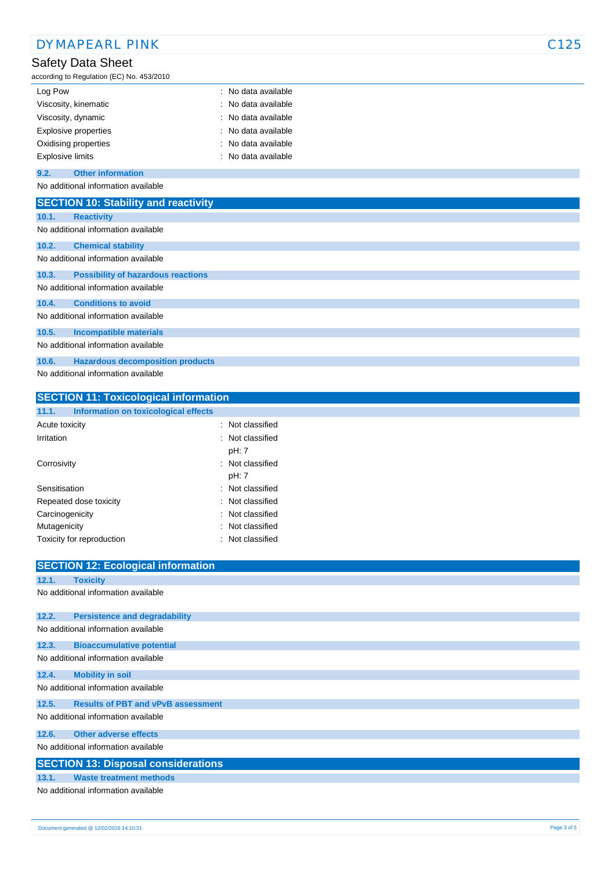| <b>DYMAPEARL PINK</b> |                                                                |                   | C125 |
|-----------------------|----------------------------------------------------------------|-------------------|------|
|                       | Safety Data Sheet<br>according to Regulation (EC) No. 453/2010 |                   |      |
| Log Pow               |                                                                | No data available |      |
|                       | Viscosity, kinematic                                           | No data available |      |
| Viscosity, dynamic    |                                                                | No data available |      |
|                       | Explosive properties                                           | No data available |      |
|                       | Oxidising properties                                           | No data available |      |
|                       | <b>Explosive limits</b>                                        | No data available |      |
| 9.2.                  | <b>Other information</b>                                       |                   |      |
|                       | No additional information available                            |                   |      |
|                       | <b>SECTION 10: Stability and reactivity</b>                    |                   |      |
| 10.1.                 | <b>Reactivity</b>                                              |                   |      |
|                       | No additional information available                            |                   |      |
| 10.2.                 | <b>Chemical stability</b>                                      |                   |      |
|                       | No additional information available                            |                   |      |
| 10.3.                 | <b>Possibility of hazardous reactions</b>                      |                   |      |
|                       | No additional information available                            |                   |      |
| 10.4.                 | <b>Conditions to avoid</b>                                     |                   |      |
|                       | No additional information available                            |                   |      |
| 10.5.                 | <b>Incompatible materials</b>                                  |                   |      |
|                       | No additional information available                            |                   |      |
| 10.6.                 | <b>Hazardous decomposition products</b>                        |                   |      |
|                       | No additional information available                            |                   |      |
|                       | <b>SECTION 11: Toxicological information</b>                   |                   |      |
| 11.1.                 | Information on toxicological effects                           |                   |      |

| Acute toxicity            | : Not classified |
|---------------------------|------------------|
| Irritation                | : Not classified |
|                           | pH: 7            |
| Corrosivity               | : Not classified |
|                           | pH: 7            |
| Sensitisation             | : Not classified |
| Repeated dose toxicity    | : Not classified |
| Carcinogenicity           | : Not classified |
| Mutagenicity              | : Not classified |
| Toxicity for reproduction | : Not classified |
|                           |                  |

|       | <b>SECTION 12: Ecological information</b>  |
|-------|--------------------------------------------|
| 12.1. | <b>Toxicity</b>                            |
|       | No additional information available        |
|       |                                            |
| 12.2. | <b>Persistence and degradability</b>       |
|       | No additional information available        |
| 12.3. | <b>Bioaccumulative potential</b>           |
|       | No additional information available        |
| 12.4. | <b>Mobility in soil</b>                    |
|       | No additional information available        |
| 12.5. | <b>Results of PBT and vPvB assessment</b>  |
|       | No additional information available        |
| 12.6. | <b>Other adverse effects</b>               |
|       | No additional information available        |
|       | <b>SECTION 13: Disposal considerations</b> |
| 13.1. | <b>Waste treatment methods</b>             |
|       | No additional information available        |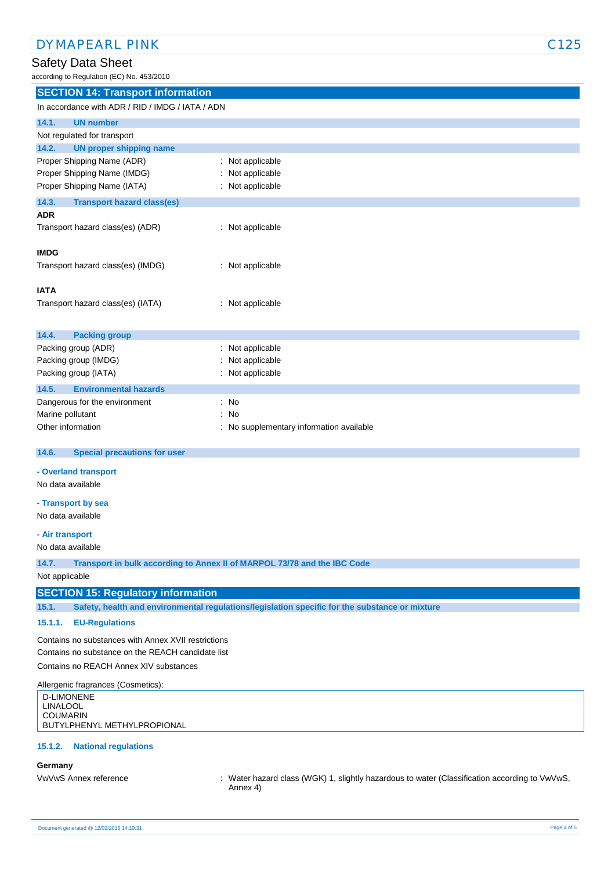### Safety Data Sheet

according to Regulation (EC) No. 453/2010

| <b>SECTION 14: Transport information</b>         |                                        |  |  |
|--------------------------------------------------|----------------------------------------|--|--|
| In accordance with ADR / RID / IMDG / IATA / ADN |                                        |  |  |
| 14.1.<br><b>UN number</b>                        |                                        |  |  |
| Not regulated for transport                      |                                        |  |  |
| <b>UN proper shipping name</b><br>14.2.          |                                        |  |  |
| Proper Shipping Name (ADR)                       | Not applicable                         |  |  |
| Proper Shipping Name (IMDG)                      | Not applicable                         |  |  |
| Proper Shipping Name (IATA)                      | Not applicable                         |  |  |
| 14.3.<br><b>Transport hazard class(es)</b>       |                                        |  |  |
| <b>ADR</b>                                       |                                        |  |  |
| Transport hazard class(es) (ADR)                 | : Not applicable                       |  |  |
|                                                  |                                        |  |  |
| <b>IMDG</b>                                      |                                        |  |  |
| Transport hazard class(es) (IMDG)                | Not applicable<br>÷                    |  |  |
| <b>IATA</b>                                      |                                        |  |  |
| Transport hazard class(es) (IATA)                | Not applicable                         |  |  |
|                                                  |                                        |  |  |
| <b>Packing group</b><br>14.4.                    |                                        |  |  |
| Packing group (ADR)                              | Not applicable                         |  |  |
| Packing group (IMDG)                             | Not applicable                         |  |  |
| Packing group (IATA)                             | Not applicable                         |  |  |
| 14.5.<br><b>Environmental hazards</b>            |                                        |  |  |
| Dangerous for the environment                    | No<br>÷                                |  |  |
| Marine pollutant                                 | No<br>÷                                |  |  |
| Other information                                | No supplementary information available |  |  |
| <b>Special precautions for user</b><br>14.6.     |                                        |  |  |
| - Overland transport                             |                                        |  |  |
| <b>Allen Market and a Mark La</b>                |                                        |  |  |

No data available

**- Transport by sea**

No data available

**- Air transport**

No data available

**14.7. Transport in bulk according to Annex II of MARPOL 73/78 and the IBC Code**

Not applicable

#### **SECTION 15: Regulatory information**

**15.1. Safety, health and environmental regulations/legislation specific for the substance or mixture**

#### **15.1.1. EU-Regulations**

Contains no substances with Annex XVII restrictions Contains no substance on the REACH candidate list

Contains no REACH Annex XIV substances

Allergenic fragrances (Cosmetics): D-LIMONENE LINALOOL COUMARIN BUTYLPHENYL METHYLPROPIONAL

#### **15.1.2. National regulations**

#### **Germany**

VwVwS Annex reference : Water hazard class (WGK) 1, slightly hazardous to water (Classification according to VwVwS, Annex 4)